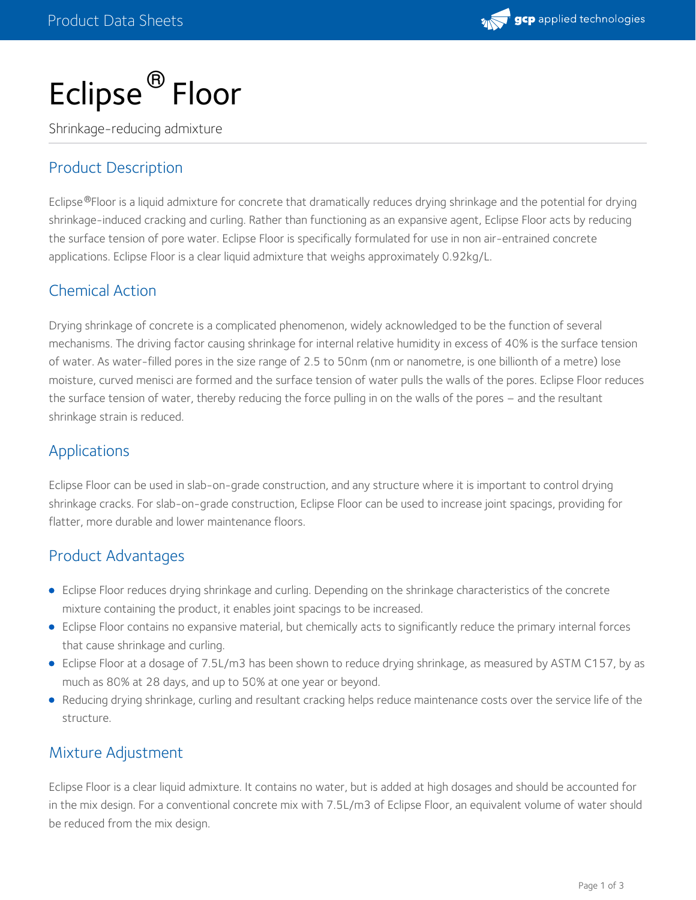

# Eclipse ® Floor

Shrinkage-reducing admixture

# Product Description

Eclipse®Floor is a liquid admixture for concrete that dramatically reduces drying shrinkage and the potential for drying shrinkage-induced cracking and curling. Rather than functioning as an expansive agent, Eclipse Floor acts by reducing the surface tension of pore water. Eclipse Floor is specifically formulated for use in non air-entrained concrete applications. Eclipse Floor is a clear liquid admixture that weighs approximately 0.92kg/L.

# Chemical Action

Drying shrinkage of concrete is a complicated phenomenon, widely acknowledged to be the function of several mechanisms. The driving factor causing shrinkage for internal relative humidity in excess of 40% is the surface tension of water. As water-filled pores in the size range of 2.5 to 50nm (nm or nanometre, is one billionth of a metre) lose moisture, curved menisci are formed and the surface tension of water pulls the walls of the pores. Eclipse Floor reduces the surface tension of water, thereby reducing the force pulling in on the walls of the pores – and the resultant shrinkage strain is reduced.

## Applications

Eclipse Floor can be used in slab-on-grade construction, and any structure where it is important to control drying shrinkage cracks. For slab-on-grade construction, Eclipse Floor can be used to increase joint spacings, providing for flatter, more durable and lower maintenance floors.

### Product Advantages

- Eclipse Floor reduces drying shrinkage and curling. Depending on the shrinkage characteristics of the concrete mixture containing the product, it enables joint spacings to be increased.
- Eclipse Floor contains no expansive material, but chemically acts to significantly reduce the primary internal forces that cause shrinkage and curling.
- Eclipse Floor at a dosage of 7.5L/m3 has been shown to reduce drying shrinkage, as measured by ASTM C157, by as much as 80% at 28 days, and up to 50% at one year or beyond.
- Reducing drying shrinkage, curling and resultant cracking helps reduce maintenance costs over the service life of the structure.

### Mixture Adjustment

Eclipse Floor is a clear liquid admixture. It contains no water, but is added at high dosages and should be accounted for in the mix design. For a conventional concrete mix with 7.5L/m3 of Eclipse Floor, an equivalent volume of water should be reduced from the mix design.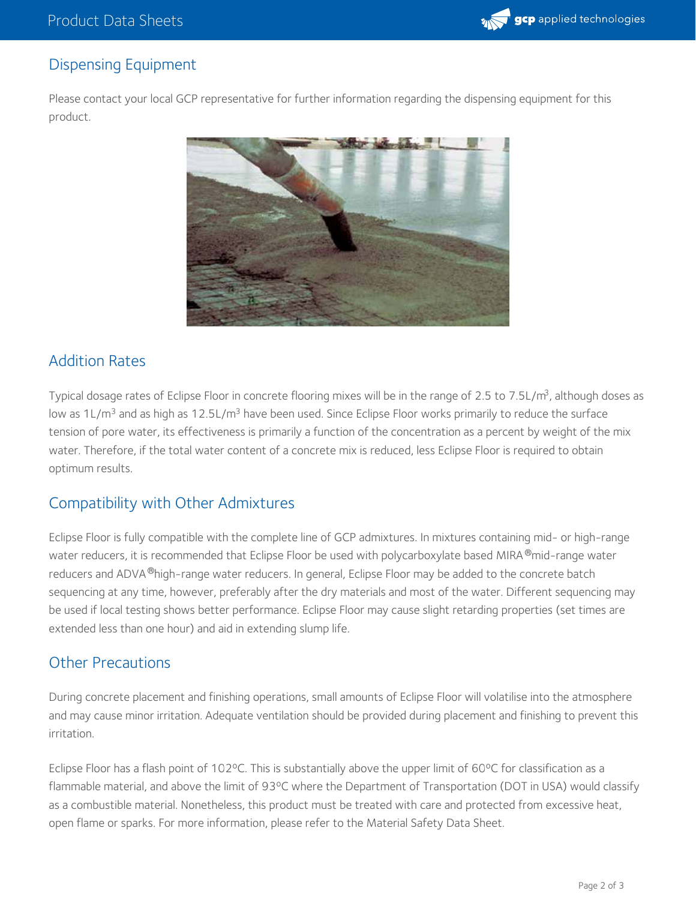

# Dispensing Equipment

Please contact your local GCP representative for further information regarding the dispensing equipment for this product.



# Addition Rates

Typical dosage rates of Eclipse Floor in concrete flooring mixes will be in the range of 2.5 to 7.5L/m<sup>3</sup>, although doses as low as 1L/m<sup>3</sup> and as high as 12.5L/m<sup>3</sup> have been used. Since Eclipse Floor works primarily to reduce the surface tension of pore water, its effectiveness is primarily a function of the concentration as a percent by weight of the mix water. Therefore, if the total water content of a concrete mix is reduced, less Eclipse Floor is required to obtain optimum results.

### Compatibility with Other Admixtures

Eclipse Floor is fully compatible with the complete line of GCP admixtures. In mixtures containing mid- or high-range water reducers, it is recommended that Eclipse Floor be used with polycarboxylate based MIRA ®mid-range water reducers and ADVA®high-range water reducers. In general, Eclipse Floor may be added to the concrete batch sequencing at any time, however, preferably after the dry materials and most of the water. Different sequencing may be used if local testing shows better performance. Eclipse Floor may cause slight retarding properties (set times are extended less than one hour) and aid in extending slump life.

#### Other Precautions

During concrete placement and finishing operations, small amounts of Eclipse Floor will volatilise into the atmosphere and may cause minor irritation. Adequate ventilation should be provided during placement and finishing to prevent this irritation.

Eclipse Floor has a flash point of 102°C. This is substantially above the upper limit of 60°C for classification as a flammable material, and above the limit of 93ºC where the Department of Transportation (DOT in USA) would classify as a combustible material. Nonetheless, this product must be treated with care and protected from excessive heat, open flame or sparks. For more information, please refer to the Material Safety Data Sheet.